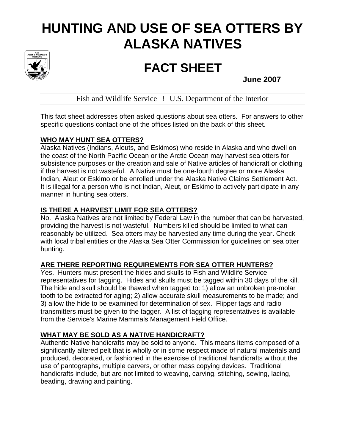# **HUNTING AND USE OF SEA OTTERS BY ALASKA NATIVES**



# **FACT SHEET**<br>June 2007

Fish and Wildlife Service ! U.S. Department of the Interior

This fact sheet addresses often asked questions about sea otters. For answers to other specific questions contact one of the offices listed on the back of this sheet.

#### **WHO MAY HUNT SEA OTTERS?**

Alaska Natives (Indians, Aleuts, and Eskimos) who reside in Alaska and who dwell on the coast of the North Pacific Ocean or the Arctic Ocean may harvest sea otters for subsistence purposes or the creation and sale of Native articles of handicraft or clothing if the harvest is not wasteful. A Native must be one-fourth degree or more Alaska Indian, Aleut or Eskimo or be enrolled under the Alaska Native Claims Settlement Act. It is illegal for a person who is not Indian, Aleut, or Eskimo to actively participate in any manner in hunting sea otters.

## **IS THERE A HARVEST LIMIT FOR SEA OTTERS?**

No. Alaska Natives are not limited by Federal Law in the number that can be harvested, providing the harvest is not wasteful. Numbers killed should be limited to what can reasonably be utilized. Sea otters may be harvested any time during the year. Check with local tribal entities or the Alaska Sea Otter Commission for guidelines on sea otter hunting.

#### **ARE THERE REPORTING REQUIREMENTS FOR SEA OTTER HUNTERS?**

Yes. Hunters must present the hides and skulls to Fish and Wildlife Service representatives for tagging. Hides and skulls must be tagged within 30 days of the kill. The hide and skull should be thawed when tagged to: 1) allow an unbroken pre-molar tooth to be extracted for aging; 2) allow accurate skull measurements to be made; and 3) allow the hide to be examined for determination of sex. Flipper tags and radio transmitters must be given to the tagger. A list of tagging representatives is available from the Service's Marine Mammals Management Field Office.

#### **WHAT MAY BE SOLD AS A NATIVE HANDICRAFT?**

Authentic Native handicrafts may be sold to anyone. This means items composed of a significantly altered pelt that is wholly or in some respect made of natural materials and produced, decorated, or fashioned in the exercise of traditional handicrafts without the use of pantographs, multiple carvers, or other mass copying devices. Traditional handicrafts include, but are not limited to weaving, carving, stitching, sewing, lacing, beading, drawing and painting.